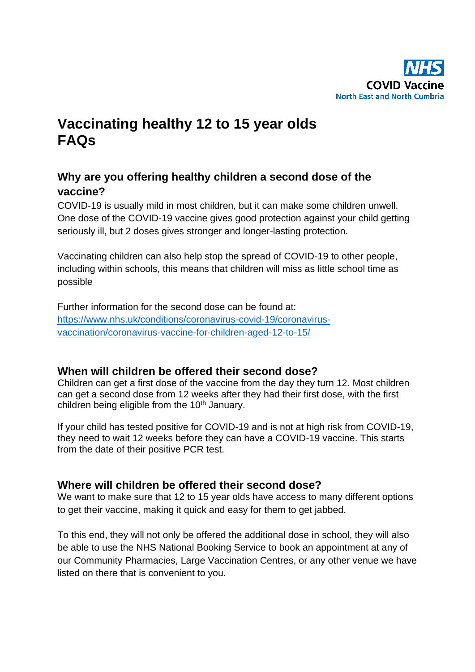

# **Vaccinating healthy 12 to 15 year olds FAQs**

# **Why are you offering healthy children a second dose of the vaccine?**

COVID-19 is usually mild in most children, but it can make some children unwell. One dose of the COVID-19 vaccine gives good protection against your child getting seriously ill, but 2 doses gives stronger and longer-lasting protection.

Vaccinating children can also help stop the spread of COVID-19 to other people, including within schools, this means that children will miss as little school time as possible

Further information for the second dose can be found at: [https://www.nhs.uk/conditions/coronavirus-covid-19/coronavirus](https://www.nhs.uk/conditions/coronavirus-covid-19/coronavirus-vaccination/coronavirus-vaccine-for-children-aged-12-to-15/)[vaccination/coronavirus-vaccine-for-children-aged-12-to-15/](https://www.nhs.uk/conditions/coronavirus-covid-19/coronavirus-vaccination/coronavirus-vaccine-for-children-aged-12-to-15/)

# **When will children be offered their second dose?**

Children can get a first dose of the vaccine from the day they turn 12. Most children can get a second dose from 12 weeks after they had their first dose, with the first children being eligible from the 10<sup>th</sup> January.

If your child has tested positive for COVID-19 and is not at high risk from COVID-19, they need to wait 12 weeks before they can have a COVID-19 vaccine. This starts from the date of their positive PCR test.

# **Where will children be offered their second dose?**

We want to make sure that 12 to 15 year olds have access to many different options to get their vaccine, making it quick and easy for them to get jabbed.

To this end, they will not only be offered the additional dose in school, they will also be able to use the NHS National Booking Service to book an appointment at any of our Community Pharmacies, Large Vaccination Centres, or any other venue we have listed on there that is convenient to you.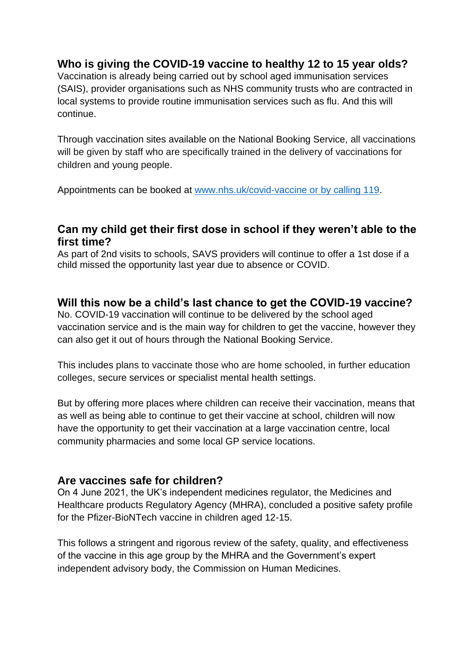# **Who is giving the COVID-19 vaccine to healthy 12 to 15 year olds?**

Vaccination is already being carried out by school aged immunisation services (SAIS), provider organisations such as NHS community trusts who are contracted in local systems to provide routine immunisation services such as flu. And this will continue.

Through vaccination sites available on the National Booking Service, all vaccinations will be given by staff who are specifically trained in the delivery of vaccinations for children and young people.

Appointments can be booked at [www.nhs.uk/covid-vaccine or by calling 119.](http://www.nhs.uk/covid-vaccine%20or%20by%20calling%20119)

## **Can my child get their first dose in school if they weren't able to the first time?**

As part of 2nd visits to schools, SAVS providers will continue to offer a 1st dose if a child missed the opportunity last year due to absence or COVID.

#### **Will this now be a child's last chance to get the COVID-19 vaccine?**

No. COVID-19 vaccination will continue to be delivered by the school aged vaccination service and is the main way for children to get the vaccine, however they can also get it out of hours through the National Booking Service.

This includes plans to vaccinate those who are home schooled, in further education colleges, secure services or specialist mental health settings.

But by offering more places where children can receive their vaccination, means that as well as being able to continue to get their vaccine at school, children will now have the opportunity to get their vaccination at a large vaccination centre, local community pharmacies and some local GP service locations.

#### **Are vaccines safe for children?**

On 4 June 2021, the UK's independent medicines regulator, the Medicines and Healthcare products Regulatory Agency (MHRA), concluded a positive safety profile for the Pfizer-BioNTech vaccine in children aged 12-15.

This follows a stringent and rigorous review of the safety, quality, and effectiveness of the vaccine in this age group by the MHRA and the Government's expert independent advisory body, the Commission on Human Medicines.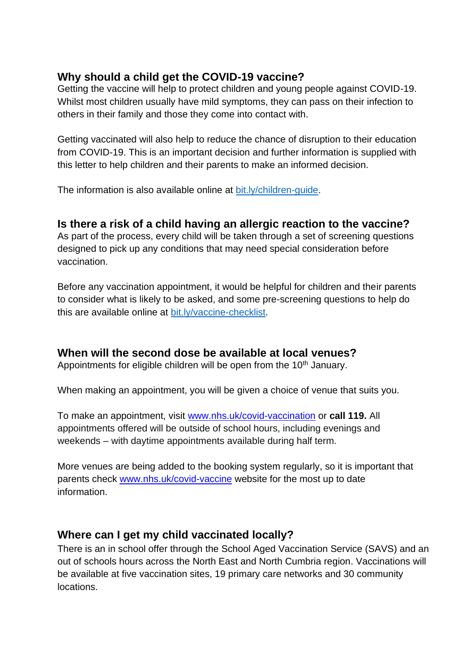## **Why should a child get the COVID-19 vaccine?**

Getting the vaccine will help to protect children and young people against COVID-19. Whilst most children usually have mild symptoms, they can pass on their infection to others in their family and those they come into contact with.

Getting vaccinated will also help to reduce the chance of disruption to their education from COVID-19. This is an important decision and further information is supplied with this letter to help children and their parents to make an informed decision.

The information is also available online at [bit.ly/children-guide.](http://bit.ly/children-guide)

#### **Is there a risk of a child having an allergic reaction to the vaccine?**

As part of the process, every child will be taken through a set of screening questions designed to pick up any conditions that may need special consideration before vaccination.

Before any vaccination appointment, it would be helpful for children and their parents to consider what is likely to be asked, and some pre-screening questions to help do this are available online at [bit.ly/vaccine-checklist.](http://bit.ly/vaccine-checklist)

# **When will the second dose be available at local venues?**

Appointments for eligible children will be open from the 10<sup>th</sup> January.

When making an appointment, you will be given a choice of venue that suits you.

To make an appointment, visit [www.nhs.uk/covid-vaccination](http://www.nhs.uk/covid-vaccination) or **call 119.** All appointments offered will be outside of school hours, including evenings and weekends – with daytime appointments available during half term.

More venues are being added to the booking system regularly, so it is important that parents check [www.nhs.uk/covid-vaccine](http://www.nhs.uk/covid-vaccine) website for the most up to date information.

# **Where can I get my child vaccinated locally?**

There is an in school offer through the School Aged Vaccination Service (SAVS) and an out of schools hours across the North East and North Cumbria region. Vaccinations will be available at five vaccination sites, 19 primary care networks and 30 community locations.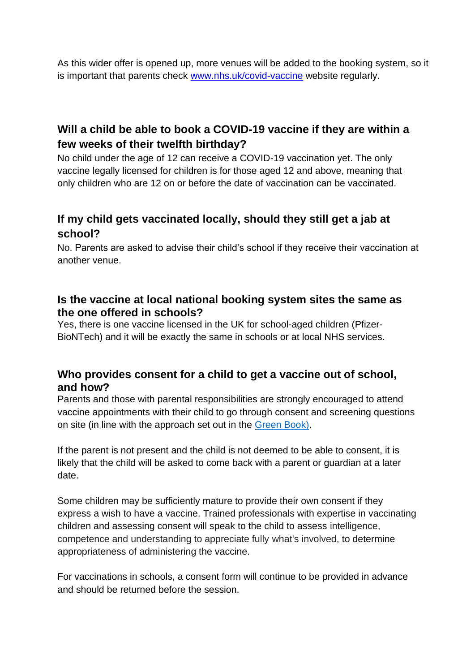As this wider offer is opened up, more venues will be added to the booking system, so it is important that parents check [www.nhs.uk/covid-vaccine](http://www.nhs.uk/covid-vaccine) website regularly.

# **Will a child be able to book a COVID-19 vaccine if they are within a few weeks of their twelfth birthday?**

No child under the age of 12 can receive a COVID-19 vaccination yet. The only vaccine legally licensed for children is for those aged 12 and above, meaning that only children who are 12 on or before the date of vaccination can be vaccinated.

# **If my child gets vaccinated locally, should they still get a jab at school?**

No. Parents are asked to advise their child's school if they receive their vaccination at another venue.

## **Is the vaccine at local national booking system sites the same as the one offered in schools?**

Yes, there is one vaccine licensed in the UK for school-aged children (Pfizer-BioNTech) and it will be exactly the same in schools or at local NHS services.

## **Who provides consent for a child to get a vaccine out of school, and how?**

Parents and those with parental responsibilities are strongly encouraged to attend vaccine appointments with their child to go through consent and screening questions on site (in line with the approach set out in the [Green Book\)](https://www.gov.uk/government/publications/consent-the-green-book-chapter-2).

If the parent is not present and the child is not deemed to be able to consent, it is likely that the child will be asked to come back with a parent or guardian at a later date.

Some children may be sufficiently mature to provide their own consent if they express a wish to have a vaccine. Trained professionals with expertise in vaccinating children and assessing consent will speak to the child to assess intelligence, competence and understanding to appreciate fully what's involved, to determine appropriateness of administering the vaccine.

For vaccinations in schools, a consent form will continue to be provided in advance and should be returned before the session.